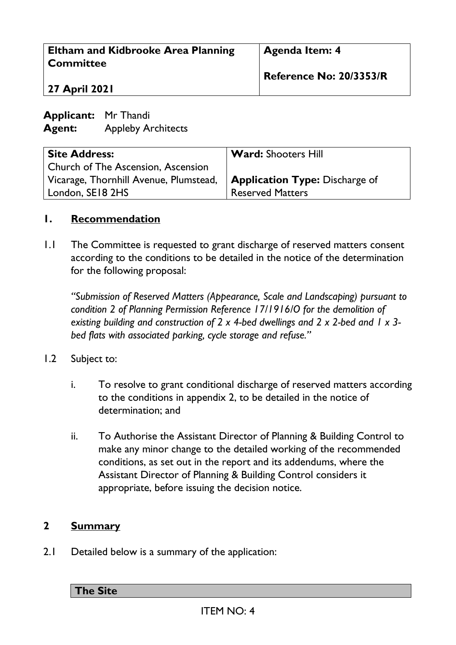| <b>Eltham and Kidbrooke Area Planning</b><br><b>Committee</b> |                           | Agenda Item: 4             |
|---------------------------------------------------------------|---------------------------|----------------------------|
| 27 April 2021                                                 |                           | Reference No: 20/3353/R    |
| <b>Applicant:</b> Mr Thandi<br><b>Agent:</b>                  | <b>Appleby Architects</b> |                            |
| <b>Site Address:</b>                                          |                           | <b>Ward: Shooters Hill</b> |

| Church of The Ascension, Ascension                                         |                         |
|----------------------------------------------------------------------------|-------------------------|
| Vicarage, Thornhill Avenue, Plumstead, $\ $ Application Type: Discharge of |                         |
| London, SE18 2HS                                                           | <b>Reserved Matters</b> |

#### **1. Recommendation**

1.1 The Committee is requested to grant discharge of reserved matters consent according to the conditions to be detailed in the notice of the determination for the following proposal:

*"Submission of Reserved Matters (Appearance, Scale and Landscaping) pursuant to condition 2 of Planning Permission Reference 17/1916/O for the demolition of existing building and construction of 2 x 4-bed dwellings and 2 x 2-bed and 1 x 3 bed flats with associated parking, cycle storage and refuse."*

- 1.2 Subject to:
	- i. To resolve to grant conditional discharge of reserved matters according to the conditions in appendix 2, to be detailed in the notice of determination; and
	- ii. To Authorise the Assistant Director of Planning & Building Control to make any minor change to the detailed working of the recommended conditions, as set out in the report and its addendums, where the Assistant Director of Planning & Building Control considers it appropriate, before issuing the decision notice.

#### **2 Summary**

2.1 Detailed below is a summary of the application:

**The Site**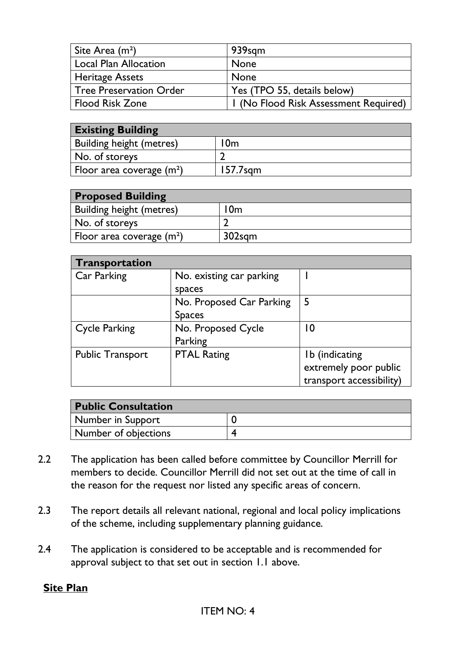| Site Area $(m2)$               | 939sqm                                |
|--------------------------------|---------------------------------------|
| <b>Local Plan Allocation</b>   | <b>None</b>                           |
| <b>Heritage Assets</b>         | <b>None</b>                           |
| <b>Tree Preservation Order</b> | Yes (TPO 55, details below)           |
| Flood Risk Zone                | I (No Flood Risk Assessment Required) |

| <b>Existing Building</b>        |          |  |
|---------------------------------|----------|--|
| <b>Building height (metres)</b> | 0m       |  |
| No. of storeys                  |          |  |
| Floor area coverage $(m2)$      | 157.7sam |  |

| <b>Proposed Building</b>        |        |
|---------------------------------|--------|
| <b>Building height (metres)</b> | l0m    |
| No. of storeys                  |        |
| Floor area coverage $(m^2)$     | 302sgm |

| Transportation          |                          |                          |
|-------------------------|--------------------------|--------------------------|
| Car Parking             | No. existing car parking |                          |
|                         | spaces                   |                          |
|                         | No. Proposed Car Parking | 5                        |
|                         | <b>Spaces</b>            |                          |
| <b>Cycle Parking</b>    | No. Proposed Cycle       | 10                       |
|                         | Parking                  |                          |
| <b>Public Transport</b> | <b>PTAL Rating</b>       | Ib (indicating           |
|                         |                          | extremely poor public    |
|                         |                          | transport accessibility) |

| <b>Public Consultation</b> |  |
|----------------------------|--|
| Number in Support          |  |
| Number of objections       |  |

- 2.2 The application has been called before committee by Councillor Merrill for members to decide. Councillor Merrill did not set out at the time of call in the reason for the request nor listed any specific areas of concern.
- 2.3 The report details all relevant national, regional and local policy implications of the scheme, including supplementary planning guidance.
- 2.4 The application is considered to be acceptable and is recommended for approval subject to that set out in section 1.1 above.

#### **Site Plan**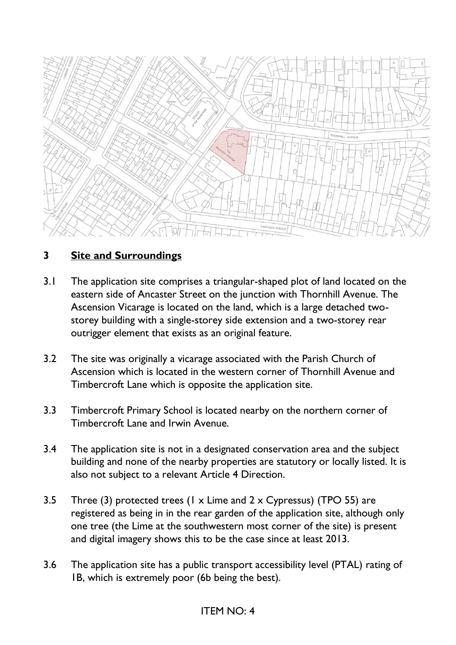

## **3 Site and Surroundings**

- 3.1 The application site comprises a triangular-shaped plot of land located on the eastern side of Ancaster Street on the junction with Thornhill Avenue. The Ascension Vicarage is located on the land, which is a large detached twostorey building with a single-storey side extension and a two-storey rear outrigger element that exists as an original feature.
- 3.2 The site was originally a vicarage associated with the Parish Church of Ascension which is located in the western corner of Thornhill Avenue and Timbercroft Lane which is opposite the application site.
- 3.3 Timbercroft Primary School is located nearby on the northern corner of Timbercroft Lane and Irwin Avenue.
- 3.4 The application site is not in a designated conservation area and the subject building and none of the nearby properties are statutory or locally listed. It is also not subject to a relevant Article 4 Direction.
- 3.5 Three (3) protected trees (1 x Lime and 2 x Cypressus) (TPO 55) are registered as being in in the rear garden of the application site, although only one tree (the Lime at the southwestern most corner of the site) is present and digital imagery shows this to be the case since at least 2013.
- 3.6 The application site has a public transport accessibility level (PTAL) rating of 1B, which is extremely poor (6b being the best).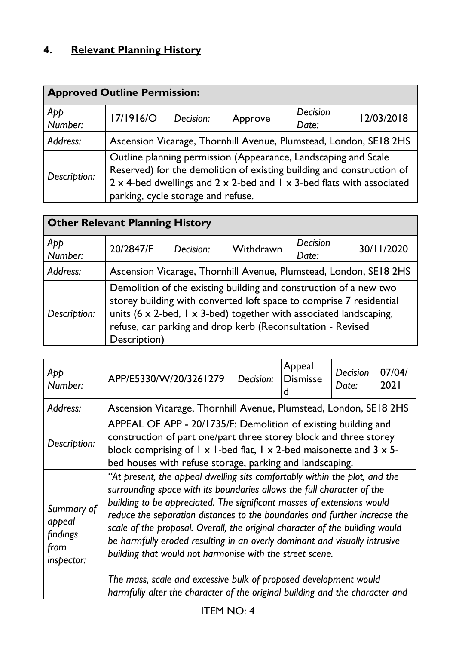# **4. Relevant Planning History**

| <b>Approved Outline Permission:</b> |                                                                                                                                                                                                                                                                               |           |                                                                   |                   |            |
|-------------------------------------|-------------------------------------------------------------------------------------------------------------------------------------------------------------------------------------------------------------------------------------------------------------------------------|-----------|-------------------------------------------------------------------|-------------------|------------|
| App<br>Number:                      | <b>17/1916/O</b>                                                                                                                                                                                                                                                              | Decision: | Approve                                                           | Decision<br>Date: | 12/03/2018 |
| Address:                            |                                                                                                                                                                                                                                                                               |           | Ascension Vicarage, Thornhill Avenue, Plumstead, London, SE18 2HS |                   |            |
| Description:                        | Outline planning permission (Appearance, Landscaping and Scale<br>Reserved) for the demolition of existing building and construction of<br>$2 \times$ 4-bed dwellings and $2 \times 2$ -bed and $1 \times 3$ -bed flats with associated<br>parking, cycle storage and refuse. |           |                                                                   |                   |            |

| <b>Other Relevant Planning History</b> |                                                                                                                                                                                                                                                                                                             |                                                                   |           |                          |            |
|----------------------------------------|-------------------------------------------------------------------------------------------------------------------------------------------------------------------------------------------------------------------------------------------------------------------------------------------------------------|-------------------------------------------------------------------|-----------|--------------------------|------------|
| App<br>Number:                         | 20/2847/F                                                                                                                                                                                                                                                                                                   | Decision:                                                         | Withdrawn | <b>Decision</b><br>Date: | 30/11/2020 |
| Address:                               |                                                                                                                                                                                                                                                                                                             | Ascension Vicarage, Thornhill Avenue, Plumstead, London, SE18 2HS |           |                          |            |
| Description:                           | Demolition of the existing building and construction of a new two<br>storey building with converted loft space to comprise 7 residential<br>units (6 $\times$ 2-bed, 1 $\times$ 3-bed) together with associated landscaping,<br>refuse, car parking and drop kerb (Reconsultation - Revised<br>Description) |                                                                   |           |                          |            |

| App<br>Number:                                         | APP/E5330/W/20/3261279                                                                                                                                                                                                                                                                                                                                                                                                                                                                                                                                                                                                                                                                     | Decision: | Appeal<br><b>Dismisse</b> | Decision<br>Date: | 07/04/<br>2021 |  |
|--------------------------------------------------------|--------------------------------------------------------------------------------------------------------------------------------------------------------------------------------------------------------------------------------------------------------------------------------------------------------------------------------------------------------------------------------------------------------------------------------------------------------------------------------------------------------------------------------------------------------------------------------------------------------------------------------------------------------------------------------------------|-----------|---------------------------|-------------------|----------------|--|
| Address:                                               | Ascension Vicarage, Thornhill Avenue, Plumstead, London, SE18 2HS                                                                                                                                                                                                                                                                                                                                                                                                                                                                                                                                                                                                                          |           |                           |                   |                |  |
| Description:                                           | APPEAL OF APP - 20/1735/F: Demolition of existing building and<br>construction of part one/part three storey block and three storey<br>block comprising of $1 \times 1$ -bed flat, $1 \times 2$ -bed maisonette and $3 \times 5$ -<br>bed houses with refuse storage, parking and landscaping.                                                                                                                                                                                                                                                                                                                                                                                             |           |                           |                   |                |  |
| Summary of<br>appeal<br>findings<br>from<br>inspector: | "At present, the appeal dwelling sits comfortably within the plot, and the<br>surrounding space with its boundaries allows the full character of the<br>building to be appreciated. The significant masses of extensions would<br>reduce the separation distances to the boundaries and further increase the<br>scale of the proposal. Overall, the original character of the building would<br>be harmfully eroded resulting in an overly dominant and visually intrusive<br>building that would not harmonise with the street scene.<br>The mass, scale and excessive bulk of proposed development would<br>harmfully alter the character of the original building and the character and |           |                           |                   |                |  |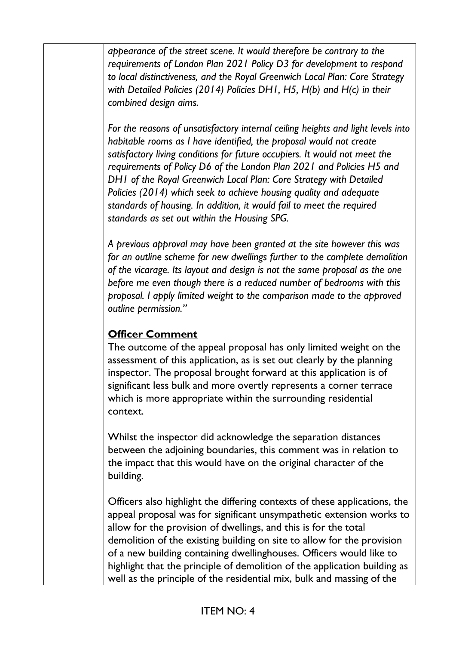*appearance of the street scene. It would therefore be contrary to the requirements of London Plan 2021 Policy D3 for development to respond to local distinctiveness, and the Royal Greenwich Local Plan: Core Strategy with Detailed Policies (2014) Policies DH1, H5, H(b) and H(c) in their combined design aims.* 

*For the reasons of unsatisfactory internal ceiling heights and light levels into habitable rooms as I have identified, the proposal would not create satisfactory living conditions for future occupiers. It would not meet the requirements of Policy D6 of the London Plan 2021 and Policies H5 and DH1 of the Royal Greenwich Local Plan: Core Strategy with Detailed Policies (2014) which seek to achieve housing quality and adequate standards of housing. In addition, it would fail to meet the required standards as set out within the Housing SPG.*

*A previous approval may have been granted at the site however this was for an outline scheme for new dwellings further to the complete demolition of the vicarage. Its layout and design is not the same proposal as the one before me even though there is a reduced number of bedrooms with this proposal. I apply limited weight to the comparison made to the approved outline permission."*

# **Officer Comment**

The outcome of the appeal proposal has only limited weight on the assessment of this application, as is set out clearly by the planning inspector. The proposal brought forward at this application is of significant less bulk and more overtly represents a corner terrace which is more appropriate within the surrounding residential context.

Whilst the inspector did acknowledge the separation distances between the adjoining boundaries, this comment was in relation to the impact that this would have on the original character of the building.

Officers also highlight the differing contexts of these applications, the appeal proposal was for significant unsympathetic extension works to allow for the provision of dwellings, and this is for the total demolition of the existing building on site to allow for the provision of a new building containing dwellinghouses. Officers would like to highlight that the principle of demolition of the application building as well as the principle of the residential mix, bulk and massing of the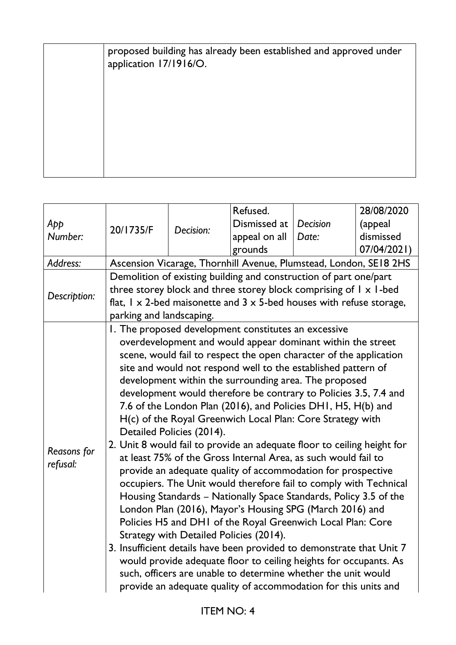| proposed building has already been established and approved under<br>application 17/1916/O. |
|---------------------------------------------------------------------------------------------|
|                                                                                             |
|                                                                                             |
|                                                                                             |
|                                                                                             |

|              |                                                                         |                           | Refused.                                                                             |          | 28/08/2020  |  |
|--------------|-------------------------------------------------------------------------|---------------------------|--------------------------------------------------------------------------------------|----------|-------------|--|
| App          | 20/1735/F                                                               | Decision:                 | Dismissed at                                                                         | Decision | (appeal     |  |
| Number:      |                                                                         |                           | appeal on all                                                                        | Date:    | dismissed   |  |
|              |                                                                         |                           | grounds                                                                              |          | 07/04/2021) |  |
| Address:     |                                                                         |                           | Ascension Vicarage, Thornhill Avenue, Plumstead, London, SE18 2HS                    |          |             |  |
|              |                                                                         |                           | Demolition of existing building and construction of part one/part                    |          |             |  |
| Description: |                                                                         |                           | three storey block and three storey block comprising of $l \times l$ -bed            |          |             |  |
|              |                                                                         |                           | flat, $1 \times 2$ -bed maisonette and $3 \times 5$ -bed houses with refuse storage, |          |             |  |
|              | parking and landscaping.                                                |                           |                                                                                      |          |             |  |
|              |                                                                         |                           | I. The proposed development constitutes an excessive                                 |          |             |  |
|              |                                                                         |                           | overdevelopment and would appear dominant within the street                          |          |             |  |
|              |                                                                         |                           | scene, would fail to respect the open character of the application                   |          |             |  |
|              |                                                                         |                           | site and would not respond well to the established pattern of                        |          |             |  |
|              |                                                                         |                           | development within the surrounding area. The proposed                                |          |             |  |
|              |                                                                         |                           | development would therefore be contrary to Policies 3.5, 7.4 and                     |          |             |  |
|              |                                                                         |                           | 7.6 of the London Plan (2016), and Policies DH1, H5, H(b) and                        |          |             |  |
|              |                                                                         |                           | H(c) of the Royal Greenwich Local Plan: Core Strategy with                           |          |             |  |
|              |                                                                         | Detailed Policies (2014). |                                                                                      |          |             |  |
|              | 2. Unit 8 would fail to provide an adequate floor to ceiling height for |                           |                                                                                      |          |             |  |
| Reasons for  | at least 75% of the Gross Internal Area, as such would fail to          |                           |                                                                                      |          |             |  |
| refusal:     | provide an adequate quality of accommodation for prospective            |                           |                                                                                      |          |             |  |
|              | occupiers. The Unit would therefore fail to comply with Technical       |                           |                                                                                      |          |             |  |
|              | Housing Standards - Nationally Space Standards, Policy 3.5 of the       |                           |                                                                                      |          |             |  |
|              | London Plan (2016), Mayor's Housing SPG (March 2016) and                |                           |                                                                                      |          |             |  |
|              | Policies H5 and DH1 of the Royal Greenwich Local Plan: Core             |                           |                                                                                      |          |             |  |
|              | Strategy with Detailed Policies (2014).                                 |                           |                                                                                      |          |             |  |
|              | 3. Insufficient details have been provided to demonstrate that Unit 7   |                           |                                                                                      |          |             |  |
|              | would provide adequate floor to ceiling heights for occupants. As       |                           |                                                                                      |          |             |  |
|              | such, officers are unable to determine whether the unit would           |                           |                                                                                      |          |             |  |
|              | provide an adequate quality of accommodation for this units and         |                           |                                                                                      |          |             |  |
|              |                                                                         |                           |                                                                                      |          |             |  |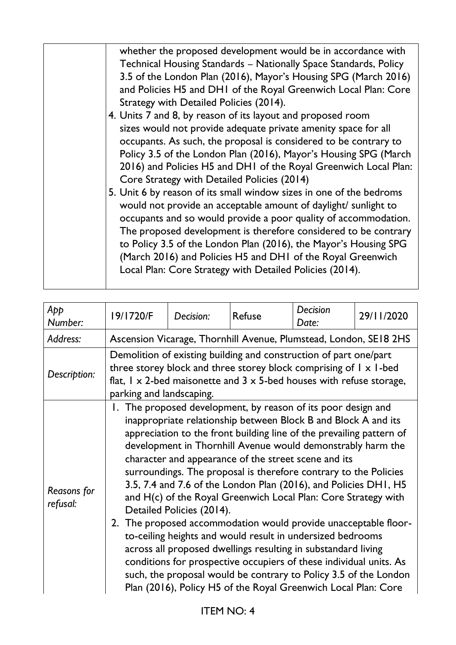| whether the proposed development would be in accordance with<br>Technical Housing Standards - Nationally Space Standards, Policy<br>3.5 of the London Plan (2016), Mayor's Housing SPG (March 2016)<br>and Policies H5 and DH1 of the Royal Greenwich Local Plan: Core<br>Strategy with Detailed Policies (2014).<br>4. Units 7 and 8, by reason of its layout and proposed room<br>sizes would not provide adequate private amenity space for all<br>occupants. As such, the proposal is considered to be contrary to<br>Policy 3.5 of the London Plan (2016), Mayor's Housing SPG (March<br>2016) and Policies H5 and DH1 of the Royal Greenwich Local Plan:<br>Core Strategy with Detailed Policies (2014)<br>5. Unit 6 by reason of its small window sizes in one of the bedroms<br>would not provide an acceptable amount of daylight/ sunlight to<br>occupants and so would provide a poor quality of accommodation.<br>The proposed development is therefore considered to be contrary<br>to Policy 3.5 of the London Plan (2016), the Mayor's Housing SPG<br>(March 2016) and Policies H5 and DH1 of the Royal Greenwich |
|----------------------------------------------------------------------------------------------------------------------------------------------------------------------------------------------------------------------------------------------------------------------------------------------------------------------------------------------------------------------------------------------------------------------------------------------------------------------------------------------------------------------------------------------------------------------------------------------------------------------------------------------------------------------------------------------------------------------------------------------------------------------------------------------------------------------------------------------------------------------------------------------------------------------------------------------------------------------------------------------------------------------------------------------------------------------------------------------------------------------------------|
| Local Plan: Core Strategy with Detailed Policies (2014).                                                                                                                                                                                                                                                                                                                                                                                                                                                                                                                                                                                                                                                                                                                                                                                                                                                                                                                                                                                                                                                                         |

| App<br>Number:                 | 19/1720/F                                                                                                                                                                                                                                                          | Decision:                 | <b>Refuse</b>                                                                                                                                                                                                                                                                                                                                                                                                                                                                                                                                                                                                                                                                                                                                                                                                                                                                                                                                       | Decision<br>Date: | 29/11/2020 |
|--------------------------------|--------------------------------------------------------------------------------------------------------------------------------------------------------------------------------------------------------------------------------------------------------------------|---------------------------|-----------------------------------------------------------------------------------------------------------------------------------------------------------------------------------------------------------------------------------------------------------------------------------------------------------------------------------------------------------------------------------------------------------------------------------------------------------------------------------------------------------------------------------------------------------------------------------------------------------------------------------------------------------------------------------------------------------------------------------------------------------------------------------------------------------------------------------------------------------------------------------------------------------------------------------------------------|-------------------|------------|
| Address:                       |                                                                                                                                                                                                                                                                    |                           | Ascension Vicarage, Thornhill Avenue, Plumstead, London, SE18 2HS                                                                                                                                                                                                                                                                                                                                                                                                                                                                                                                                                                                                                                                                                                                                                                                                                                                                                   |                   |            |
| Description:                   | Demolition of existing building and construction of part one/part<br>three storey block and three storey block comprising of $l \times l$ -bed<br>flat, $1 \times 2$ -bed maisonette and $3 \times 5$ -bed houses with refuse storage,<br>parking and landscaping. |                           |                                                                                                                                                                                                                                                                                                                                                                                                                                                                                                                                                                                                                                                                                                                                                                                                                                                                                                                                                     |                   |            |
| <b>Reasons for</b><br>refusal: | 2.                                                                                                                                                                                                                                                                 | Detailed Policies (2014). | 1. The proposed development, by reason of its poor design and<br>inappropriate relationship between Block B and Block A and its<br>appreciation to the front building line of the prevailing pattern of<br>development in Thornhill Avenue would demonstrably harm the<br>character and appearance of the street scene and its<br>surroundings. The proposal is therefore contrary to the Policies<br>3.5, 7.4 and 7.6 of the London Plan (2016), and Policies DH1, H5<br>and H(c) of the Royal Greenwich Local Plan: Core Strategy with<br>The proposed accommodation would provide unacceptable floor-<br>to-ceiling heights and would result in undersized bedrooms<br>across all proposed dwellings resulting in substandard living<br>conditions for prospective occupiers of these individual units. As<br>such, the proposal would be contrary to Policy 3.5 of the London<br>Plan (2016), Policy H5 of the Royal Greenwich Local Plan: Core |                   |            |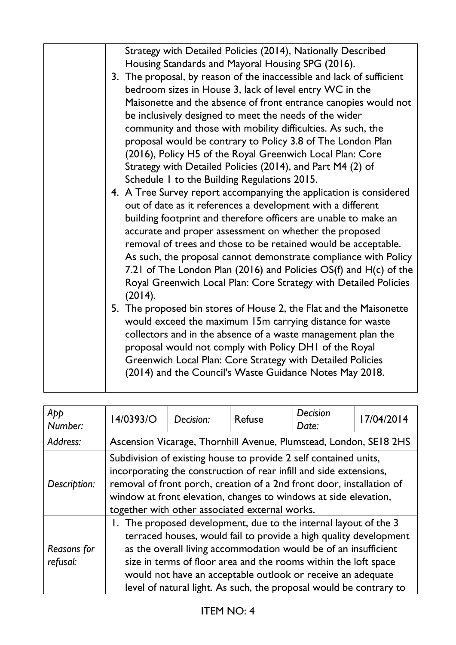| Strategy with Detailed Policies (2014), Nationally Described<br>Housing Standards and Mayoral Housing SPG (2016).<br>3. The proposal, by reason of the inaccessible and lack of sufficient<br>bedroom sizes in House 3, lack of level entry WC in the<br>Maisonette and the absence of front entrance canopies would not<br>be inclusively designed to meet the needs of the wider<br>community and those with mobility difficulties. As such, the<br>proposal would be contrary to Policy 3.8 of The London Plan<br>(2016), Policy H5 of the Royal Greenwich Local Plan: Core<br>Strategy with Detailed Policies (2014), and Part M4 (2) of<br>Schedule I to the Building Regulations 2015.<br>4. A Tree Survey report accompanying the application is considered<br>out of date as it references a development with a different<br>building footprint and therefore officers are unable to make an<br>accurate and proper assessment on whether the proposed<br>removal of trees and those to be retained would be acceptable.<br>As such, the proposal cannot demonstrate compliance with Policy<br>7.21 of The London Plan (2016) and Policies OS(f) and H(c) of the<br>Royal Greenwich Local Plan: Core Strategy with Detailed Policies<br>(2014).<br>5. The proposed bin stores of House 2, the Flat and the Maisonette<br>would exceed the maximum 15m carrying distance for waste<br>collectors and in the absence of a waste management plan the<br>proposal would not comply with Policy DHI of the Royal<br>Greenwich Local Plan: Core Strategy with Detailed Policies |
|-----------------------------------------------------------------------------------------------------------------------------------------------------------------------------------------------------------------------------------------------------------------------------------------------------------------------------------------------------------------------------------------------------------------------------------------------------------------------------------------------------------------------------------------------------------------------------------------------------------------------------------------------------------------------------------------------------------------------------------------------------------------------------------------------------------------------------------------------------------------------------------------------------------------------------------------------------------------------------------------------------------------------------------------------------------------------------------------------------------------------------------------------------------------------------------------------------------------------------------------------------------------------------------------------------------------------------------------------------------------------------------------------------------------------------------------------------------------------------------------------------------------------------------------------------------------------------------|
| (2014) and the Council's Waste Guidance Notes May 2018.                                                                                                                                                                                                                                                                                                                                                                                                                                                                                                                                                                                                                                                                                                                                                                                                                                                                                                                                                                                                                                                                                                                                                                                                                                                                                                                                                                                                                                                                                                                           |

| App                            | 14/0393/O                                                                                                                                                                                                                                                                                                                                                                                                        | Decision: | Refuse                                                                                                                                                                                                                                                                                                                                | <b>Decision</b> | 17/04/2014 |
|--------------------------------|------------------------------------------------------------------------------------------------------------------------------------------------------------------------------------------------------------------------------------------------------------------------------------------------------------------------------------------------------------------------------------------------------------------|-----------|---------------------------------------------------------------------------------------------------------------------------------------------------------------------------------------------------------------------------------------------------------------------------------------------------------------------------------------|-----------------|------------|
| Number:                        |                                                                                                                                                                                                                                                                                                                                                                                                                  |           |                                                                                                                                                                                                                                                                                                                                       | Date:           |            |
| Address:                       |                                                                                                                                                                                                                                                                                                                                                                                                                  |           | Ascension Vicarage, Thornhill Avenue, Plumstead, London, SE18 2HS                                                                                                                                                                                                                                                                     |                 |            |
| Description:                   |                                                                                                                                                                                                                                                                                                                                                                                                                  |           | Subdivision of existing house to provide 2 self contained units,<br>incorporating the construction of rear infill and side extensions,<br>removal of front porch, creation of a 2nd front door, installation of<br>window at front elevation, changes to windows at side elevation,<br>together with other associated external works. |                 |            |
| <b>Reasons for</b><br>refusal: | 1. The proposed development, due to the internal layout of the 3<br>terraced houses, would fail to provide a high quality development<br>as the overall living accommodation would be of an insufficient<br>size in terms of floor area and the rooms within the loft space<br>would not have an acceptable outlook or receive an adequate<br>level of natural light. As such, the proposal would be contrary to |           |                                                                                                                                                                                                                                                                                                                                       |                 |            |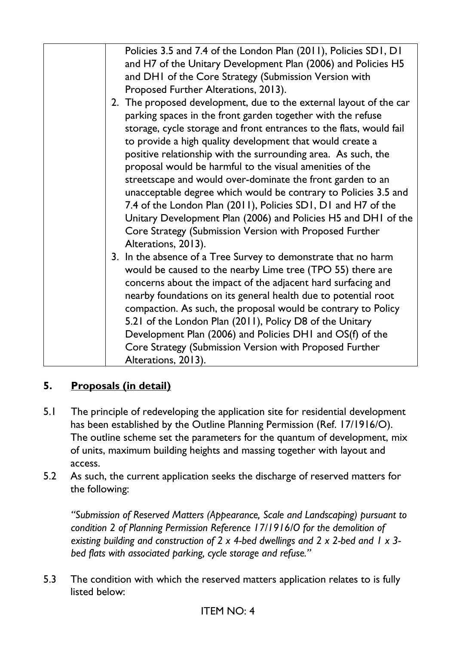| Policies 3.5 and 7.4 of the London Plan (2011), Policies SD1, D1<br>and H7 of the Unitary Development Plan (2006) and Policies H5<br>and DHI of the Core Strategy (Submission Version with                                                                                                                                                                                                                                                                                                                                     |
|--------------------------------------------------------------------------------------------------------------------------------------------------------------------------------------------------------------------------------------------------------------------------------------------------------------------------------------------------------------------------------------------------------------------------------------------------------------------------------------------------------------------------------|
| Proposed Further Alterations, 2013).<br>2. The proposed development, due to the external layout of the car                                                                                                                                                                                                                                                                                                                                                                                                                     |
| parking spaces in the front garden together with the refuse<br>storage, cycle storage and front entrances to the flats, would fail<br>to provide a high quality development that would create a<br>positive relationship with the surrounding area. As such, the<br>proposal would be harmful to the visual amenities of the<br>streetscape and would over-dominate the front garden to an<br>unacceptable degree which would be contrary to Policies 3.5 and<br>7.4 of the London Plan (2011), Policies SD1, D1 and H7 of the |
| Unitary Development Plan (2006) and Policies H5 and DH1 of the                                                                                                                                                                                                                                                                                                                                                                                                                                                                 |
| Core Strategy (Submission Version with Proposed Further<br>Alterations, 2013).                                                                                                                                                                                                                                                                                                                                                                                                                                                 |
| 3. In the absence of a Tree Survey to demonstrate that no harm<br>would be caused to the nearby Lime tree (TPO 55) there are<br>concerns about the impact of the adjacent hard surfacing and<br>nearby foundations on its general health due to potential root<br>compaction. As such, the proposal would be contrary to Policy<br>5.21 of the London Plan (2011), Policy D8 of the Unitary<br>Development Plan (2006) and Policies DHI and OS(f) of the<br>Core Strategy (Submission Version with Proposed Further            |
| Alterations, 2013).                                                                                                                                                                                                                                                                                                                                                                                                                                                                                                            |

# **5. Proposals (in detail)**

- 5.1 The principle of redeveloping the application site for residential development has been established by the Outline Planning Permission (Ref. 17/1916/O). The outline scheme set the parameters for the quantum of development, mix of units, maximum building heights and massing together with layout and access.
- 5.2 As such, the current application seeks the discharge of reserved matters for the following:

*"Submission of Reserved Matters (Appearance, Scale and Landscaping) pursuant to condition 2 of Planning Permission Reference 17/1916/O for the demolition of existing building and construction of 2 x 4-bed dwellings and 2 x 2-bed and 1 x 3 bed flats with associated parking, cycle storage and refuse."*

5.3 The condition with which the reserved matters application relates to is fully listed below: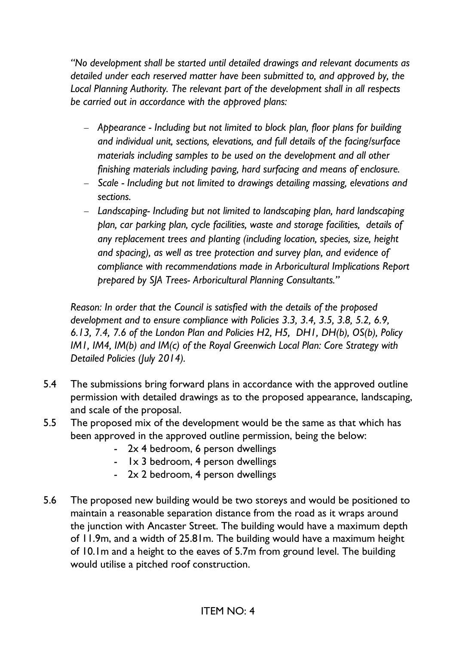*"No development shall be started until detailed drawings and relevant documents as detailed under each reserved matter have been submitted to, and approved by, the Local Planning Authority. The relevant part of the development shall in all respects be carried out in accordance with the approved plans:*

- − *Appearance - Including but not limited to block plan, floor plans for building and individual unit, sections, elevations, and full details of the facing/surface materials including samples to be used on the development and all other finishing materials including paving, hard surfacing and means of enclosure.*
- − *Scale - Including but not limited to drawings detailing massing, elevations and sections.*
- − *Landscaping- Including but not limited to landscaping plan, hard landscaping plan, car parking plan, cycle facilities, waste and storage facilities, details of any replacement trees and planting (including location, species, size, height and spacing), as well as tree protection and survey plan, and evidence of compliance with recommendations made in Arboricultural Implications Report prepared by SJA Trees- Arboricultural Planning Consultants."*

*Reason: In order that the Council is satisfied with the details of the proposed development and to ensure compliance with Policies 3.3, 3.4, 3.5, 3.8, 5.2, 6.9, 6.13, 7.4, 7.6 of the London Plan and Policies H2, H5, DH1, DH(b), OS(b), Policy IM1, IM4, IM(b) and IM(c) of the Royal Greenwich Local Plan: Core Strategy with Detailed Policies (July 2014).*

- 5.4 The submissions bring forward plans in accordance with the approved outline permission with detailed drawings as to the proposed appearance, landscaping, and scale of the proposal.
- 5.5 The proposed mix of the development would be the same as that which has been approved in the approved outline permission, being the below:
	- 2x 4 bedroom, 6 person dwellings
	- 1x 3 bedroom, 4 person dwellings
	- 2x 2 bedroom, 4 person dwellings
- 5.6 The proposed new building would be two storeys and would be positioned to maintain a reasonable separation distance from the road as it wraps around the junction with Ancaster Street. The building would have a maximum depth of 11.9m, and a width of 25.81m. The building would have a maximum height of 10.1m and a height to the eaves of 5.7m from ground level. The building would utilise a pitched roof construction.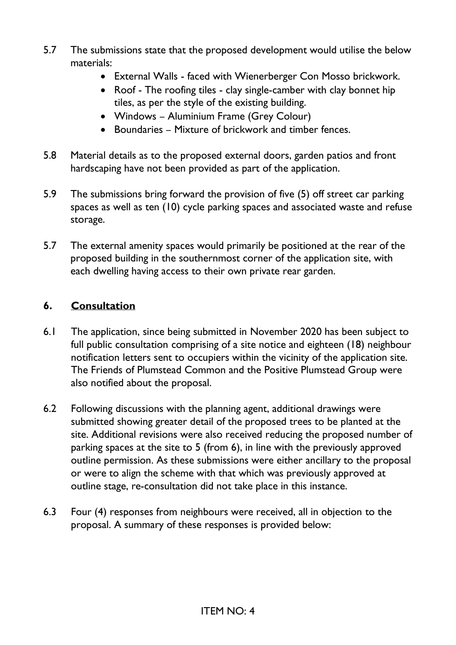- 5.7 The submissions state that the proposed development would utilise the below materials:
	- External Walls faced with Wienerberger Con Mosso brickwork.
	- Roof The roofing tiles clay single-camber with clay bonnet hip tiles, as per the style of the existing building.
	- Windows Aluminium Frame (Grey Colour)
	- Boundaries Mixture of brickwork and timber fences.
- 5.8 Material details as to the proposed external doors, garden patios and front hardscaping have not been provided as part of the application.
- 5.9 The submissions bring forward the provision of five (5) off street car parking spaces as well as ten (10) cycle parking spaces and associated waste and refuse storage.
- 5.7 The external amenity spaces would primarily be positioned at the rear of the proposed building in the southernmost corner of the application site, with each dwelling having access to their own private rear garden.

## **6. Consultation**

- 6.1 The application, since being submitted in November 2020 has been subject to full public consultation comprising of a site notice and eighteen (18) neighbour notification letters sent to occupiers within the vicinity of the application site. The Friends of Plumstead Common and the Positive Plumstead Group were also notified about the proposal.
- 6.2 Following discussions with the planning agent, additional drawings were submitted showing greater detail of the proposed trees to be planted at the site. Additional revisions were also received reducing the proposed number of parking spaces at the site to 5 (from 6), in line with the previously approved outline permission. As these submissions were either ancillary to the proposal or were to align the scheme with that which was previously approved at outline stage, re-consultation did not take place in this instance.
- 6.3 Four (4) responses from neighbours were received, all in objection to the proposal. A summary of these responses is provided below: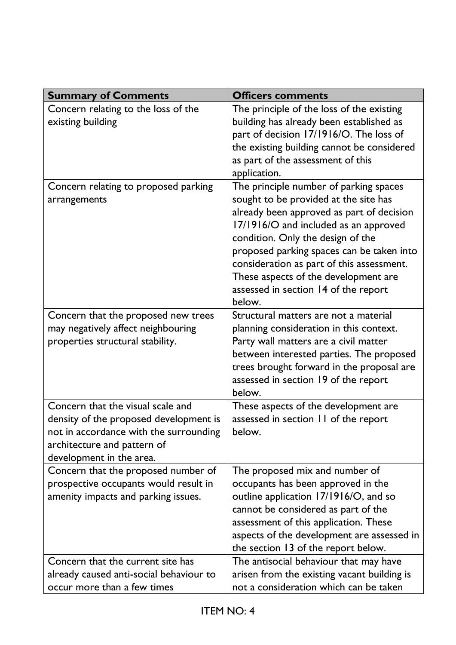| <b>Summary of Comments</b>                                                                                                                                                       | <b>Officers comments</b>                                                                                                                                                                                                                                                                                                                                                                       |
|----------------------------------------------------------------------------------------------------------------------------------------------------------------------------------|------------------------------------------------------------------------------------------------------------------------------------------------------------------------------------------------------------------------------------------------------------------------------------------------------------------------------------------------------------------------------------------------|
| Concern relating to the loss of the<br>existing building                                                                                                                         | The principle of the loss of the existing<br>building has already been established as<br>part of decision 17/1916/O. The loss of<br>the existing building cannot be considered<br>as part of the assessment of this<br>application.                                                                                                                                                            |
| Concern relating to proposed parking<br>arrangements                                                                                                                             | The principle number of parking spaces<br>sought to be provided at the site has<br>already been approved as part of decision<br>17/1916/O and included as an approved<br>condition. Only the design of the<br>proposed parking spaces can be taken into<br>consideration as part of this assessment.<br>These aspects of the development are<br>assessed in section 14 of the report<br>below. |
| Concern that the proposed new trees<br>may negatively affect neighbouring<br>properties structural stability.                                                                    | Structural matters are not a material<br>planning consideration in this context.<br>Party wall matters are a civil matter<br>between interested parties. The proposed<br>trees brought forward in the proposal are<br>assessed in section 19 of the report<br>below.                                                                                                                           |
| Concern that the visual scale and<br>density of the proposed development is<br>not in accordance with the surrounding<br>architecture and pattern of<br>development in the area. | These aspects of the development are<br>assessed in section 11 of the report<br>below.                                                                                                                                                                                                                                                                                                         |
| Concern that the proposed number of<br>prospective occupants would result in<br>amenity impacts and parking issues.                                                              | The proposed mix and number of<br>occupants has been approved in the<br>outline application 17/1916/O, and so<br>cannot be considered as part of the<br>assessment of this application. These<br>aspects of the development are assessed in<br>the section 13 of the report below.                                                                                                             |
| Concern that the current site has<br>already caused anti-social behaviour to<br>occur more than a few times                                                                      | The antisocial behaviour that may have<br>arisen from the existing vacant building is<br>not a consideration which can be taken                                                                                                                                                                                                                                                                |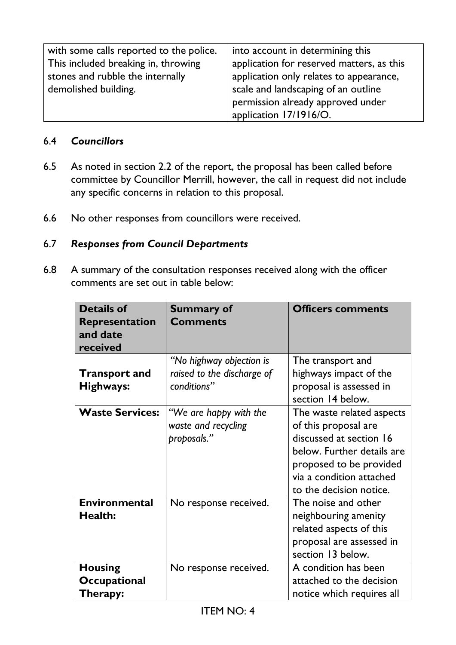| with some calls reported to the police. | into account in determining this          |
|-----------------------------------------|-------------------------------------------|
| This included breaking in, throwing     | application for reserved matters, as this |
| stones and rubble the internally        | application only relates to appearance,   |
| demolished building.                    | scale and landscaping of an outline       |
|                                         | permission already approved under         |
|                                         | application 17/1916/O.                    |

#### 6.4 *Councillors*

- 6.5 As noted in section 2.2 of the report, the proposal has been called before committee by Councillor Merrill, however, the call in request did not include any specific concerns in relation to this proposal.
- 6.6 No other responses from councillors were received.

#### 6.7 *Responses from Council Departments*

6.8 A summary of the consultation responses received along with the officer comments are set out in table below:

| <b>Details of</b><br><b>Representation</b><br>and date<br>received | <b>Summary of</b><br><b>Comments</b>                                  | <b>Officers comments</b>                                                                                                                                                                     |
|--------------------------------------------------------------------|-----------------------------------------------------------------------|----------------------------------------------------------------------------------------------------------------------------------------------------------------------------------------------|
| <b>Transport and</b><br>Highways:                                  | "No highway objection is<br>raised to the discharge of<br>conditions" | The transport and<br>highways impact of the<br>proposal is assessed in<br>section 14 below.                                                                                                  |
| <b>Waste Services:</b>                                             | "We are happy with the<br>waste and recycling<br>proposals."          | The waste related aspects<br>of this proposal are<br>discussed at section 16<br>below. Further details are<br>proposed to be provided<br>via a condition attached<br>to the decision notice. |
| <b>Environmental</b><br><b>Health:</b>                             | No response received.                                                 | The noise and other<br>neighbouring amenity<br>related aspects of this<br>proposal are assessed in<br>section 13 below.                                                                      |
| <b>Housing</b><br>Occupational<br>Therapy:                         | No response received.                                                 | A condition has been<br>attached to the decision<br>notice which requires all                                                                                                                |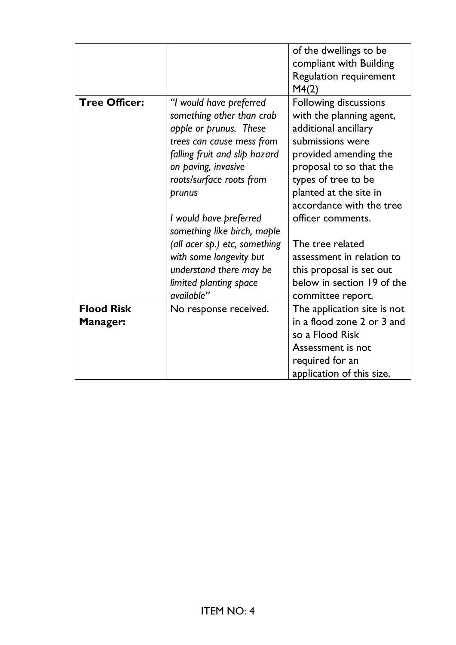|                                      |                                                                                                                                                                                                           | of the dwellings to be<br>compliant with Building<br><b>Regulation requirement</b><br>M4(2)                                                                                                                                    |
|--------------------------------------|-----------------------------------------------------------------------------------------------------------------------------------------------------------------------------------------------------------|--------------------------------------------------------------------------------------------------------------------------------------------------------------------------------------------------------------------------------|
| <b>Tree Officer:</b>                 | "I would have preferred<br>something other than crab<br>apple or prunus. These<br>trees can cause mess from<br>falling fruit and slip hazard<br>on paving, invasive<br>roots/surface roots from<br>prunus | Following discussions<br>with the planning agent,<br>additional ancillary<br>submissions were<br>provided amending the<br>proposal to so that the<br>types of tree to be<br>planted at the site in<br>accordance with the tree |
|                                      | I would have preferred<br>something like birch, maple<br>(all acer sp.) etc, something                                                                                                                    | officer comments.<br>The tree related                                                                                                                                                                                          |
|                                      | with some longevity but<br>understand there may be<br>limited planting space<br>available"                                                                                                                | assessment in relation to<br>this proposal is set out<br>below in section 19 of the<br>committee report.                                                                                                                       |
| <b>Flood Risk</b><br><b>Manager:</b> | No response received.                                                                                                                                                                                     | The application site is not<br>in a flood zone 2 or 3 and<br>so a Flood Risk<br>Assessment is not<br>required for an<br>application of this size.                                                                              |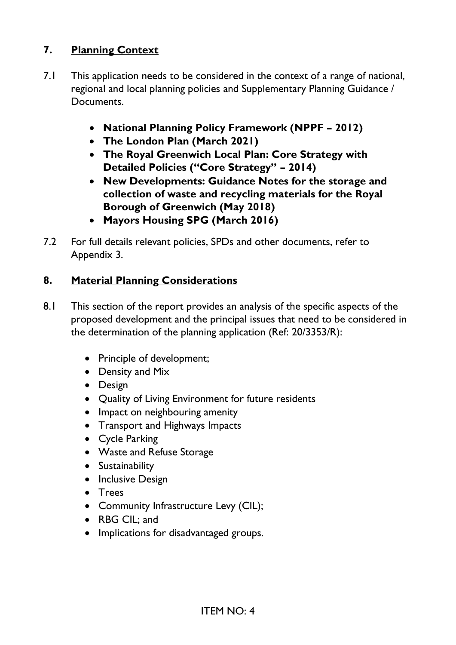# **7. Planning Context**

- 7.1 This application needs to be considered in the context of a range of national, regional and local planning policies and Supplementary Planning Guidance / Documents.
	- **National Planning Policy Framework (NPPF – 2012)**
	- **The London Plan (March 2021)**
	- **The Royal Greenwich Local Plan: Core Strategy with Detailed Policies ("Core Strategy" – 2014)**
	- **New Developments: Guidance Notes for the storage and collection of waste and recycling materials for the Royal Borough of Greenwich (May 2018)**
	- **Mayors Housing SPG (March 2016)**
- 7.2 For full details relevant policies, SPDs and other documents, refer to Appendix 3.

## **8. Material Planning Considerations**

- 8.1 This section of the report provides an analysis of the specific aspects of the proposed development and the principal issues that need to be considered in the determination of the planning application (Ref: 20/3353/R):
	- Principle of development;
	- Density and Mix
	- Design
	- Quality of Living Environment for future residents
	- Impact on neighbouring amenity
	- Transport and Highways Impacts
	- Cycle Parking
	- Waste and Refuse Storage
	- Sustainability
	- Inclusive Design
	- Trees
	- Community Infrastructure Levy (CIL);
	- RBG CIL: and
	- Implications for disadvantaged groups.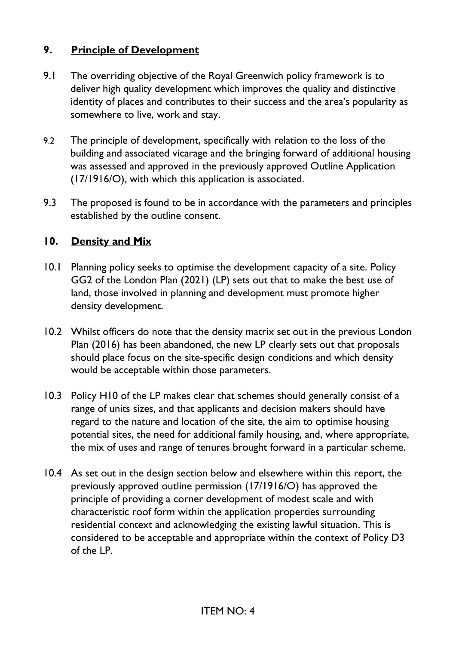# **9. Principle of Development**

- 9.1 The overriding objective of the Royal Greenwich policy framework is to deliver high quality development which improves the quality and distinctive identity of places and contributes to their success and the area's popularity as somewhere to live, work and stay.
- 9.2 The principle of development, specifically with relation to the loss of the building and associated vicarage and the bringing forward of additional housing was assessed and approved in the previously approved Outline Application (17/1916/O), with which this application is associated.
- 9.3 The proposed is found to be in accordance with the parameters and principles established by the outline consent.

# **10. Density and Mix**

- 10.1 Planning policy seeks to optimise the development capacity of a site. Policy GG2 of the London Plan (2021) (LP) sets out that to make the best use of land, those involved in planning and development must promote higher density development.
- 10.2 Whilst officers do note that the density matrix set out in the previous London Plan (2016) has been abandoned, the new LP clearly sets out that proposals should place focus on the site-specific design conditions and which density would be acceptable within those parameters.
- 10.3 Policy H10 of the LP makes clear that schemes should generally consist of a range of units sizes, and that applicants and decision makers should have regard to the nature and location of the site, the aim to optimise housing potential sites, the need for additional family housing, and, where appropriate, the mix of uses and range of tenures brought forward in a particular scheme.
- 10.4 As set out in the design section below and elsewhere within this report, the previously approved outline permission (17/1916/O) has approved the principle of providing a corner development of modest scale and with characteristic roof form within the application properties surrounding residential context and acknowledging the existing lawful situation. This is considered to be acceptable and appropriate within the context of Policy D3 of the LP.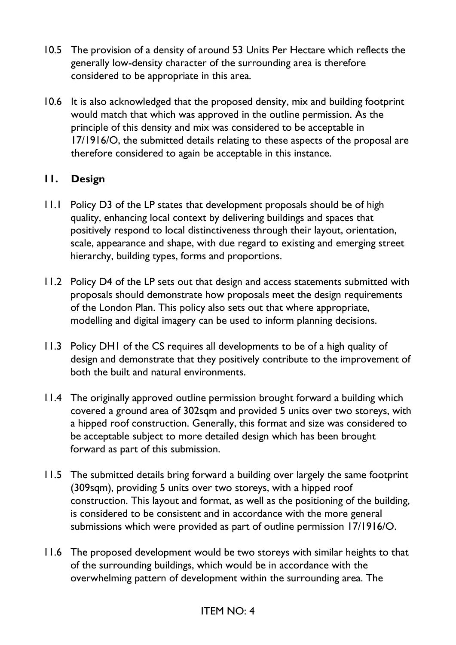- 10.5 The provision of a density of around 53 Units Per Hectare which reflects the generally low-density character of the surrounding area is therefore considered to be appropriate in this area.
- 10.6 It is also acknowledged that the proposed density, mix and building footprint would match that which was approved in the outline permission. As the principle of this density and mix was considered to be acceptable in 17/1916/O, the submitted details relating to these aspects of the proposal are therefore considered to again be acceptable in this instance.

# **11. Design**

- 11.1 Policy D3 of the LP states that development proposals should be of high quality, enhancing local context by delivering buildings and spaces that positively respond to local distinctiveness through their layout, orientation, scale, appearance and shape, with due regard to existing and emerging street hierarchy, building types, forms and proportions.
- 11.2 Policy D4 of the LP sets out that design and access statements submitted with proposals should demonstrate how proposals meet the design requirements of the London Plan. This policy also sets out that where appropriate, modelling and digital imagery can be used to inform planning decisions.
- 11.3 Policy DH1 of the CS requires all developments to be of a high quality of design and demonstrate that they positively contribute to the improvement of both the built and natural environments.
- 11.4 The originally approved outline permission brought forward a building which covered a ground area of 302sqm and provided 5 units over two storeys, with a hipped roof construction. Generally, this format and size was considered to be acceptable subject to more detailed design which has been brought forward as part of this submission.
- 11.5 The submitted details bring forward a building over largely the same footprint (309sqm), providing 5 units over two storeys, with a hipped roof construction. This layout and format, as well as the positioning of the building, is considered to be consistent and in accordance with the more general submissions which were provided as part of outline permission 17/1916/O.
- 11.6 The proposed development would be two storeys with similar heights to that of the surrounding buildings, which would be in accordance with the overwhelming pattern of development within the surrounding area. The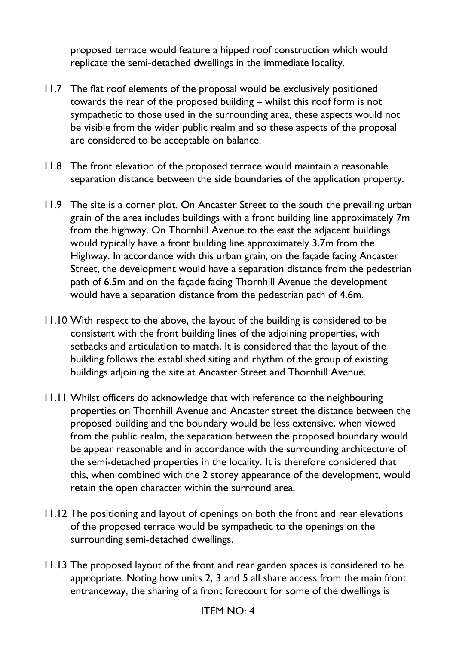proposed terrace would feature a hipped roof construction which would replicate the semi-detached dwellings in the immediate locality.

- 11.7 The flat roof elements of the proposal would be exclusively positioned towards the rear of the proposed building – whilst this roof form is not sympathetic to those used in the surrounding area, these aspects would not be visible from the wider public realm and so these aspects of the proposal are considered to be acceptable on balance.
- 11.8 The front elevation of the proposed terrace would maintain a reasonable separation distance between the side boundaries of the application property.
- 11.9 The site is a corner plot. On Ancaster Street to the south the prevailing urban grain of the area includes buildings with a front building line approximately 7m from the highway. On Thornhill Avenue to the east the adjacent buildings would typically have a front building line approximately 3.7m from the Highway. In accordance with this urban grain, on the façade facing Ancaster Street, the development would have a separation distance from the pedestrian path of 6.5m and on the façade facing Thornhill Avenue the development would have a separation distance from the pedestrian path of 4.6m.
- 11.10 With respect to the above, the layout of the building is considered to be consistent with the front building lines of the adjoining properties, with setbacks and articulation to match. It is considered that the layout of the building follows the established siting and rhythm of the group of existing buildings adjoining the site at Ancaster Street and Thornhill Avenue.
- 11.11 Whilst officers do acknowledge that with reference to the neighbouring properties on Thornhill Avenue and Ancaster street the distance between the proposed building and the boundary would be less extensive, when viewed from the public realm, the separation between the proposed boundary would be appear reasonable and in accordance with the surrounding architecture of the semi-detached properties in the locality. It is therefore considered that this, when combined with the 2 storey appearance of the development, would retain the open character within the surround area.
- 11.12 The positioning and layout of openings on both the front and rear elevations of the proposed terrace would be sympathetic to the openings on the surrounding semi-detached dwellings.
- 11.13 The proposed layout of the front and rear garden spaces is considered to be appropriate. Noting how units 2, 3 and 5 all share access from the main front entranceway, the sharing of a front forecourt for some of the dwellings is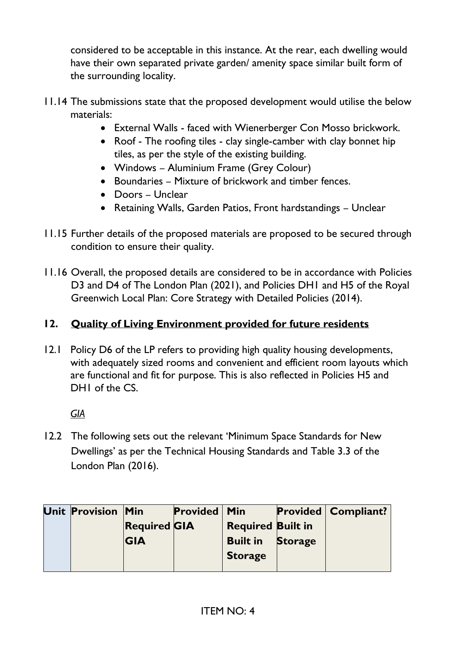considered to be acceptable in this instance. At the rear, each dwelling would have their own separated private garden/ amenity space similar built form of the surrounding locality.

- 11.14 The submissions state that the proposed development would utilise the below materials:
	- External Walls faced with Wienerberger Con Mosso brickwork.
	- Roof The roofing tiles clay single-camber with clay bonnet hip tiles, as per the style of the existing building.
	- Windows Aluminium Frame (Grey Colour)
	- Boundaries Mixture of brickwork and timber fences.
	- Doors Unclear
	- Retaining Walls, Garden Patios, Front hardstandings Unclear
- 11.15 Further details of the proposed materials are proposed to be secured through condition to ensure their quality.
- 11.16 Overall, the proposed details are considered to be in accordance with Policies D3 and D4 of The London Plan (2021), and Policies DH1 and H5 of the Royal Greenwich Local Plan: Core Strategy with Detailed Policies (2014).

# **12. Quality of Living Environment provided for future residents**

12.1 Policy D6 of the LP refers to providing high quality housing developments, with adequately sized rooms and convenient and efficient room layouts which are functional and fit for purpose. This is also reflected in Policies H5 and DH<sub>I</sub> of the CS.

# *GIA*

12.2 The following sets out the relevant 'Minimum Space Standards for New Dwellings' as per the Technical Housing Standards and Table 3.3 of the London Plan (2016).

| Unit Provision Min |                     | <b>Provided</b> | $\mid$ Min               |                | <b>Provided   Compliant?</b> |
|--------------------|---------------------|-----------------|--------------------------|----------------|------------------------------|
|                    | <b>Required GIA</b> |                 | <b>Required Built in</b> |                |                              |
|                    | <b>IGIA</b>         |                 | <b>Built in</b>          | <b>Storage</b> |                              |
|                    |                     |                 | <b>Storage</b>           |                |                              |
|                    |                     |                 |                          |                |                              |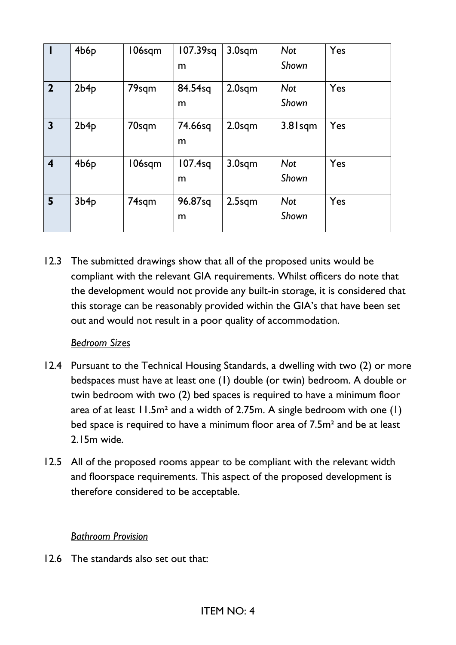|                         | 4b6p | 106sqm | 107.39sq | 3.0sqm             | <b>Not</b> | Yes |
|-------------------------|------|--------|----------|--------------------|------------|-----|
|                         |      |        | m        |                    | Shown      |     |
| $\overline{2}$          | 2b4p | 79sqm  | 84.54sq  | $2.0$ sqm          | <b>Not</b> | Yes |
|                         |      |        | m        |                    | Shown      |     |
| $\mathbf{3}$            | 2b4p | 70sqm  | 74.66sq  | $2.0$ sqm          | 3.8 Isqm   | Yes |
|                         |      |        | m        |                    |            |     |
| $\overline{\mathbf{4}}$ | 4b6p | 106sqm | 107.4sq  | 3.0 <sub>sqm</sub> | <b>Not</b> | Yes |
|                         |      |        | m        |                    | Shown      |     |
| 5                       | 3b4p | 74sqm  | 96.87sq  | $2.5$ sqm          | <b>Not</b> | Yes |
|                         |      |        | m        |                    | Shown      |     |

12.3 The submitted drawings show that all of the proposed units would be compliant with the relevant GIA requirements. Whilst officers do note that the development would not provide any built-in storage, it is considered that this storage can be reasonably provided within the GIA's that have been set out and would not result in a poor quality of accommodation.

#### *Bedroom Sizes*

- 12.4 Pursuant to the Technical Housing Standards, a dwelling with two (2) or more bedspaces must have at least one (1) double (or twin) bedroom. A double or twin bedroom with two (2) bed spaces is required to have a minimum floor area of at least  $11.5m<sup>2</sup>$  and a width of 2.75m. A single bedroom with one (1) bed space is required to have a minimum floor area of 7.5m² and be at least 2.15m wide.
- 12.5 All of the proposed rooms appear to be compliant with the relevant width and floorspace requirements. This aspect of the proposed development is therefore considered to be acceptable.

#### *Bathroom Provision*

12.6 The standards also set out that: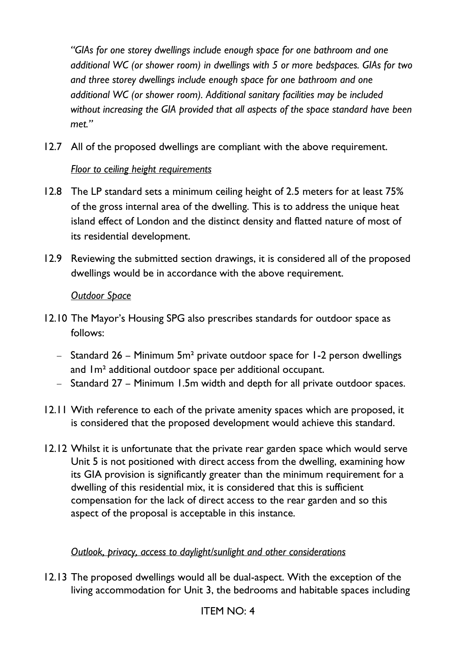*"GIAs for one storey dwellings include enough space for one bathroom and one additional WC (or shower room) in dwellings with 5 or more bedspaces. GIAs for two and three storey dwellings include enough space for one bathroom and one additional WC (or shower room). Additional sanitary facilities may be included without increasing the GIA provided that all aspects of the space standard have been met."*

12.7 All of the proposed dwellings are compliant with the above requirement.

## *Floor to ceiling height requirements*

- 12.8 The LP standard sets a minimum ceiling height of 2.5 meters for at least 75% of the gross internal area of the dwelling. This is to address the unique heat island effect of London and the distinct density and flatted nature of most of its residential development.
- 12.9 Reviewing the submitted section drawings, it is considered all of the proposed dwellings would be in accordance with the above requirement.

#### *Outdoor Space*

- 12.10 The Mayor's Housing SPG also prescribes standards for outdoor space as follows:
	- − Standard 26 Minimum 5m² private outdoor space for 1-2 person dwellings and 1m² additional outdoor space per additional occupant.
	- − Standard 27 Minimum 1.5m width and depth for all private outdoor spaces.
- 12.11 With reference to each of the private amenity spaces which are proposed, it is considered that the proposed development would achieve this standard.
- 12.12 Whilst it is unfortunate that the private rear garden space which would serve Unit 5 is not positioned with direct access from the dwelling, examining how its GIA provision is significantly greater than the minimum requirement for a dwelling of this residential mix, it is considered that this is sufficient compensation for the lack of direct access to the rear garden and so this aspect of the proposal is acceptable in this instance.

#### *Outlook, privacy, access to daylight/sunlight and other considerations*

12.13 The proposed dwellings would all be dual-aspect. With the exception of the living accommodation for Unit 3, the bedrooms and habitable spaces including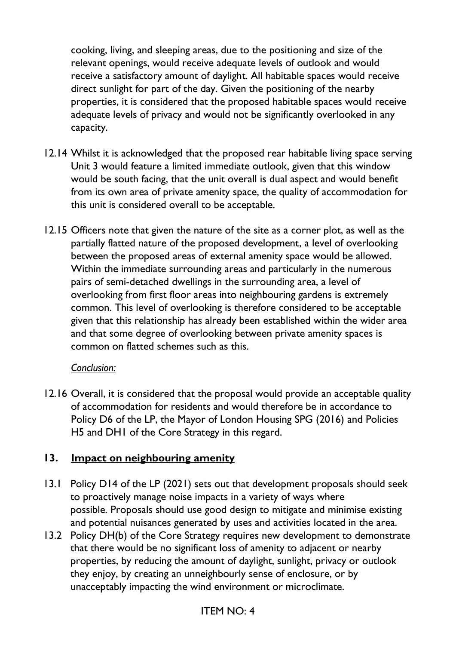cooking, living, and sleeping areas, due to the positioning and size of the relevant openings, would receive adequate levels of outlook and would receive a satisfactory amount of daylight. All habitable spaces would receive direct sunlight for part of the day. Given the positioning of the nearby properties, it is considered that the proposed habitable spaces would receive adequate levels of privacy and would not be significantly overlooked in any capacity.

- 12.14 Whilst it is acknowledged that the proposed rear habitable living space serving Unit 3 would feature a limited immediate outlook, given that this window would be south facing, that the unit overall is dual aspect and would benefit from its own area of private amenity space, the quality of accommodation for this unit is considered overall to be acceptable.
- 12.15 Officers note that given the nature of the site as a corner plot, as well as the partially flatted nature of the proposed development, a level of overlooking between the proposed areas of external amenity space would be allowed. Within the immediate surrounding areas and particularly in the numerous pairs of semi-detached dwellings in the surrounding area, a level of overlooking from first floor areas into neighbouring gardens is extremely common. This level of overlooking is therefore considered to be acceptable given that this relationship has already been established within the wider area and that some degree of overlooking between private amenity spaces is common on flatted schemes such as this.

#### *Conclusion:*

12.16 Overall, it is considered that the proposal would provide an acceptable quality of accommodation for residents and would therefore be in accordance to Policy D6 of the LP, the Mayor of London Housing SPG (2016) and Policies H5 and DH1 of the Core Strategy in this regard.

#### **13. Impact on neighbouring amenity**

- 13.1 Policy D14 of the LP (2021) sets out that development proposals should seek to proactively manage noise impacts in a variety of ways where possible. Proposals should use good design to mitigate and minimise existing and potential nuisances generated by uses and activities located in the area.
- 13.2 Policy DH(b) of the Core Strategy requires new development to demonstrate that there would be no significant loss of amenity to adjacent or nearby properties, by reducing the amount of daylight, sunlight, privacy or outlook they enjoy, by creating an unneighbourly sense of enclosure, or by unacceptably impacting the wind environment or microclimate.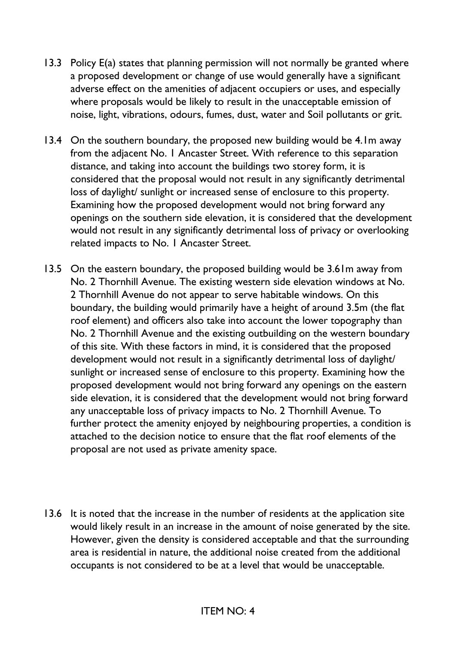- 13.3 Policy E(a) states that planning permission will not normally be granted where a proposed development or change of use would generally have a significant adverse effect on the amenities of adjacent occupiers or uses, and especially where proposals would be likely to result in the unacceptable emission of noise, light, vibrations, odours, fumes, dust, water and Soil pollutants or grit.
- 13.4 On the southern boundary, the proposed new building would be 4.1m away from the adjacent No. 1 Ancaster Street. With reference to this separation distance, and taking into account the buildings two storey form, it is considered that the proposal would not result in any significantly detrimental loss of daylight/ sunlight or increased sense of enclosure to this property. Examining how the proposed development would not bring forward any openings on the southern side elevation, it is considered that the development would not result in any significantly detrimental loss of privacy or overlooking related impacts to No. 1 Ancaster Street.
- 13.5 On the eastern boundary, the proposed building would be 3.61m away from No. 2 Thornhill Avenue. The existing western side elevation windows at No. 2 Thornhill Avenue do not appear to serve habitable windows. On this boundary, the building would primarily have a height of around 3.5m (the flat roof element) and officers also take into account the lower topography than No. 2 Thornhill Avenue and the existing outbuilding on the western boundary of this site. With these factors in mind, it is considered that the proposed development would not result in a significantly detrimental loss of daylight/ sunlight or increased sense of enclosure to this property. Examining how the proposed development would not bring forward any openings on the eastern side elevation, it is considered that the development would not bring forward any unacceptable loss of privacy impacts to No. 2 Thornhill Avenue. To further protect the amenity enjoyed by neighbouring properties, a condition is attached to the decision notice to ensure that the flat roof elements of the proposal are not used as private amenity space.
- 13.6 It is noted that the increase in the number of residents at the application site would likely result in an increase in the amount of noise generated by the site. However, given the density is considered acceptable and that the surrounding area is residential in nature, the additional noise created from the additional occupants is not considered to be at a level that would be unacceptable.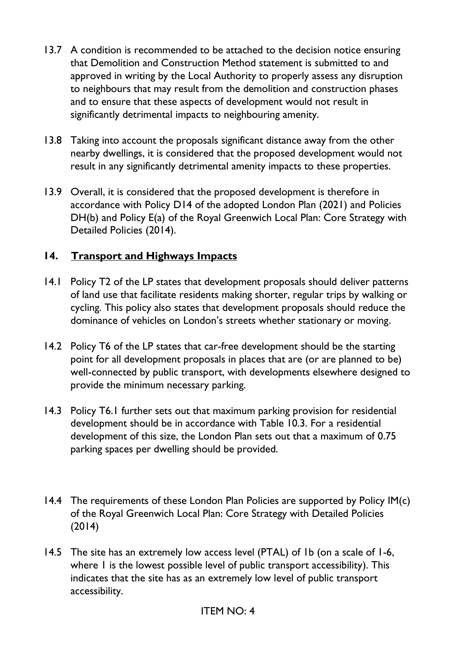- 13.7 A condition is recommended to be attached to the decision notice ensuring that Demolition and Construction Method statement is submitted to and approved in writing by the Local Authority to properly assess any disruption to neighbours that may result from the demolition and construction phases and to ensure that these aspects of development would not result in significantly detrimental impacts to neighbouring amenity.
- 13.8 Taking into account the proposals significant distance away from the other nearby dwellings, it is considered that the proposed development would not result in any significantly detrimental amenity impacts to these properties.
- 13.9 Overall, it is considered that the proposed development is therefore in accordance with Policy D14 of the adopted London Plan (2021) and Policies DH(b) and Policy E(a) of the Royal Greenwich Local Plan: Core Strategy with Detailed Policies (2014).

# **14. Transport and Highways Impacts**

- 14.1 Policy T2 of the LP states that development proposals should deliver patterns of land use that facilitate residents making shorter, regular trips by walking or cycling. This policy also states that development proposals should reduce the dominance of vehicles on London's streets whether stationary or moving.
- 14.2 Policy T6 of the LP states that car-free development should be the starting point for all development proposals in places that are (or are planned to be) well-connected by public transport, with developments elsewhere designed to provide the minimum necessary parking.
- 14.3 Policy T6.1 further sets out that maximum parking provision for residential development should be in accordance with Table 10.3. For a residential development of this size, the London Plan sets out that a maximum of 0.75 parking spaces per dwelling should be provided.
- 14.4 The requirements of these London Plan Policies are supported by Policy IM(c) of the Royal Greenwich Local Plan: Core Strategy with Detailed Policies (2014)
- 14.5 The site has an extremely low access level (PTAL) of 1b (on a scale of 1-6, where 1 is the lowest possible level of public transport accessibility). This indicates that the site has as an extremely low level of public transport accessibility.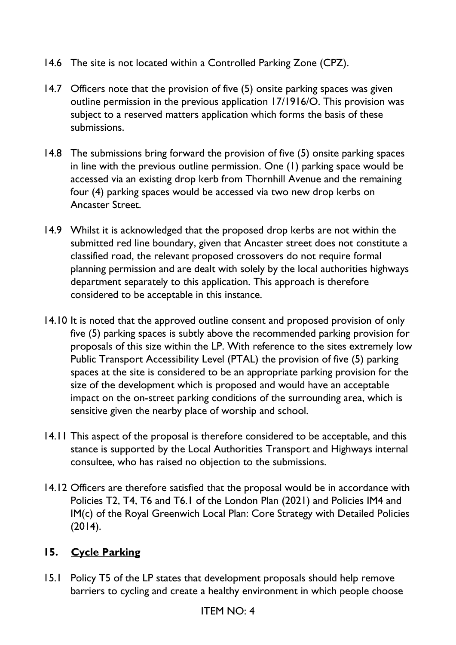- 14.6 The site is not located within a Controlled Parking Zone (CPZ).
- 14.7 Officers note that the provision of five (5) onsite parking spaces was given outline permission in the previous application 17/1916/O. This provision was subject to a reserved matters application which forms the basis of these submissions.
- 14.8 The submissions bring forward the provision of five (5) onsite parking spaces in line with the previous outline permission. One (1) parking space would be accessed via an existing drop kerb from Thornhill Avenue and the remaining four (4) parking spaces would be accessed via two new drop kerbs on Ancaster Street.
- 14.9 Whilst it is acknowledged that the proposed drop kerbs are not within the submitted red line boundary, given that Ancaster street does not constitute a classified road, the relevant proposed crossovers do not require formal planning permission and are dealt with solely by the local authorities highways department separately to this application. This approach is therefore considered to be acceptable in this instance.
- 14.10 It is noted that the approved outline consent and proposed provision of only five (5) parking spaces is subtly above the recommended parking provision for proposals of this size within the LP. With reference to the sites extremely low Public Transport Accessibility Level (PTAL) the provision of five (5) parking spaces at the site is considered to be an appropriate parking provision for the size of the development which is proposed and would have an acceptable impact on the on-street parking conditions of the surrounding area, which is sensitive given the nearby place of worship and school.
- 14.11 This aspect of the proposal is therefore considered to be acceptable, and this stance is supported by the Local Authorities Transport and Highways internal consultee, who has raised no objection to the submissions.
- 14.12 Officers are therefore satisfied that the proposal would be in accordance with Policies T2, T4, T6 and T6.1 of the London Plan (2021) and Policies IM4 and IM(c) of the Royal Greenwich Local Plan: Core Strategy with Detailed Policies (2014).

# **15. Cycle Parking**

15.1 Policy T5 of the LP states that development proposals should help remove barriers to cycling and create a healthy environment in which people choose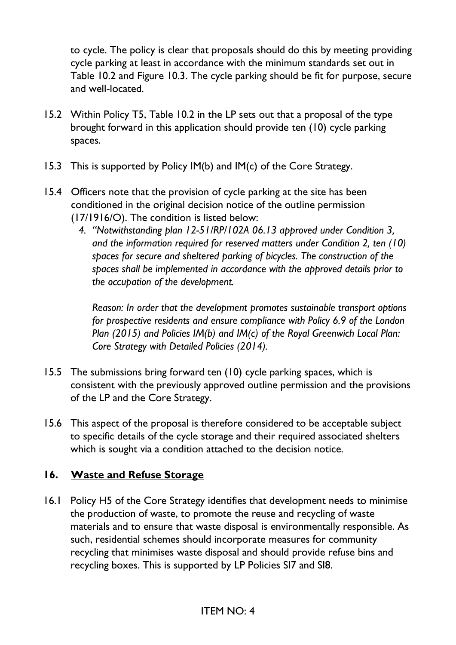to cycle. The policy is clear that proposals should do this by meeting providing cycle parking at least in accordance with the minimum standards set out in Table 10.2 and Figure 10.3. The cycle parking should be fit for purpose, secure and well-located.

- 15.2 Within Policy T5, Table 10.2 in the LP sets out that a proposal of the type brought forward in this application should provide ten (10) cycle parking spaces.
- 15.3 This is supported by Policy IM(b) and IM(c) of the Core Strategy.
- 15.4 Officers note that the provision of cycle parking at the site has been conditioned in the original decision notice of the outline permission (17/1916/O). The condition is listed below:
	- *4. "Notwithstanding plan 12-51/RP/102A 06.13 approved under Condition 3, and the information required for reserved matters under Condition 2, ten (10) spaces for secure and sheltered parking of bicycles. The construction of the spaces shall be implemented in accordance with the approved details prior to the occupation of the development.*

*Reason: In order that the development promotes sustainable transport options for prospective residents and ensure compliance with Policy 6.9 of the London Plan (2015) and Policies IM(b) and IM(c) of the Royal Greenwich Local Plan: Core Strategy with Detailed Policies (2014).*

- 15.5 The submissions bring forward ten (10) cycle parking spaces, which is consistent with the previously approved outline permission and the provisions of the LP and the Core Strategy.
- 15.6 This aspect of the proposal is therefore considered to be acceptable subject to specific details of the cycle storage and their required associated shelters which is sought via a condition attached to the decision notice.

# **16. Waste and Refuse Storage**

16.1 Policy H5 of the Core Strategy identifies that development needs to minimise the production of waste, to promote the reuse and recycling of waste materials and to ensure that waste disposal is environmentally responsible. As such, residential schemes should incorporate measures for community recycling that minimises waste disposal and should provide refuse bins and recycling boxes. This is supported by LP Policies SI7 and SI8.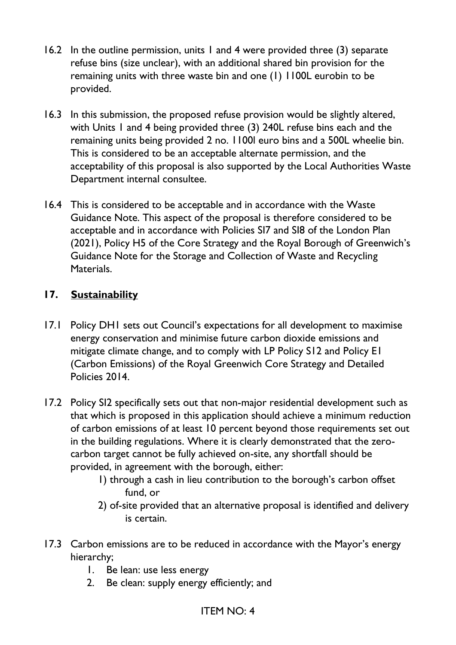- 16.2 In the outline permission, units 1 and 4 were provided three (3) separate refuse bins (size unclear), with an additional shared bin provision for the remaining units with three waste bin and one (1) 1100L eurobin to be provided.
- 16.3 In this submission, the proposed refuse provision would be slightly altered, with Units 1 and 4 being provided three (3) 240L refuse bins each and the remaining units being provided 2 no. 1100l euro bins and a 500L wheelie bin. This is considered to be an acceptable alternate permission, and the acceptability of this proposal is also supported by the Local Authorities Waste Department internal consultee.
- 16.4 This is considered to be acceptable and in accordance with the Waste Guidance Note. This aspect of the proposal is therefore considered to be acceptable and in accordance with Policies SI7 and SI8 of the London Plan (2021), Policy H5 of the Core Strategy and the Royal Borough of Greenwich's Guidance Note for the Storage and Collection of Waste and Recycling Materials.

# **17. Sustainability**

- 17.1 Policy DH1 sets out Council's expectations for all development to maximise energy conservation and minimise future carbon dioxide emissions and mitigate climate change, and to comply with LP Policy S12 and Policy E1 (Carbon Emissions) of the Royal Greenwich Core Strategy and Detailed Policies 2014.
- 17.2 Policy SI2 specifically sets out that non-major residential development such as that which is proposed in this application should achieve a minimum reduction of carbon emissions of at least 10 percent beyond those requirements set out in the building regulations. Where it is clearly demonstrated that the zerocarbon target cannot be fully achieved on-site, any shortfall should be provided, in agreement with the borough, either:
	- 1) through a cash in lieu contribution to the borough's carbon offset fund, or
	- 2) of-site provided that an alternative proposal is identified and delivery is certain.
- 17.3 Carbon emissions are to be reduced in accordance with the Mayor's energy hierarchy;
	- 1. Be lean: use less energy
	- 2. Be clean: supply energy efficiently; and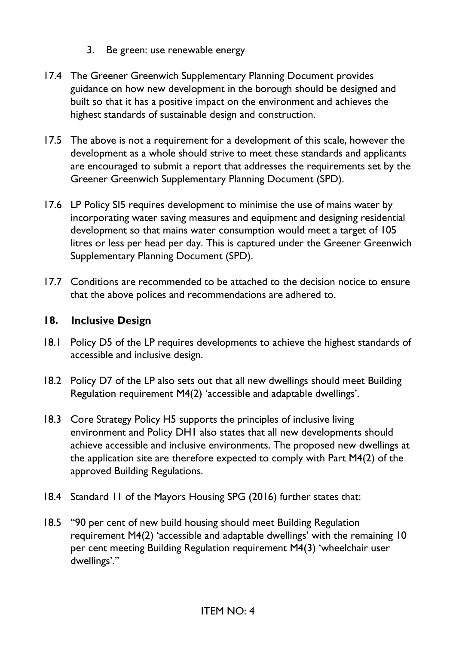- 3. Be green: use renewable energy
- 17.4 The Greener Greenwich Supplementary Planning Document provides guidance on how new development in the borough should be designed and built so that it has a positive impact on the environment and achieves the highest standards of sustainable design and construction.
- 17.5 The above is not a requirement for a development of this scale, however the development as a whole should strive to meet these standards and applicants are encouraged to submit a report that addresses the requirements set by the Greener Greenwich Supplementary Planning Document (SPD).
- 17.6 LP Policy SI5 requires development to minimise the use of mains water by incorporating water saving measures and equipment and designing residential development so that mains water consumption would meet a target of 105 litres or less per head per day. This is captured under the Greener Greenwich Supplementary Planning Document (SPD).
- 17.7 Conditions are recommended to be attached to the decision notice to ensure that the above polices and recommendations are adhered to.

# **18. Inclusive Design**

- 18.1 Policy D5 of the LP requires developments to achieve the highest standards of accessible and inclusive design.
- 18.2 Policy D7 of the LP also sets out that all new dwellings should meet Building Regulation requirement M4(2) 'accessible and adaptable dwellings'.
- 18.3 Core Strategy Policy H5 supports the principles of inclusive living environment and Policy DH1 also states that all new developments should achieve accessible and inclusive environments. The proposed new dwellings at the application site are therefore expected to comply with Part M4(2) of the approved Building Regulations.
- 18.4 Standard 11 of the Mayors Housing SPG (2016) further states that:
- 18.5 "90 per cent of new build housing should meet Building Regulation requirement M4(2) 'accessible and adaptable dwellings' with the remaining 10 per cent meeting Building Regulation requirement M4(3) 'wheelchair user dwellings'."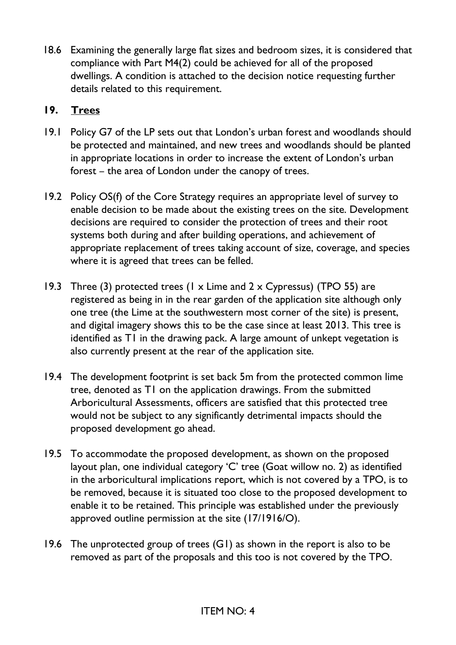18.6 Examining the generally large flat sizes and bedroom sizes, it is considered that compliance with Part M4(2) could be achieved for all of the proposed dwellings. A condition is attached to the decision notice requesting further details related to this requirement.

## **19. Trees**

- 19.1 Policy G7 of the LP sets out that London's urban forest and woodlands should be protected and maintained, and new trees and woodlands should be planted in appropriate locations in order to increase the extent of London's urban forest – the area of London under the canopy of trees.
- 19.2 Policy OS(f) of the Core Strategy requires an appropriate level of survey to enable decision to be made about the existing trees on the site. Development decisions are required to consider the protection of trees and their root systems both during and after building operations, and achievement of appropriate replacement of trees taking account of size, coverage, and species where it is agreed that trees can be felled.
- 19.3 Three (3) protected trees (1 x Lime and 2 x Cypressus) (TPO 55) are registered as being in in the rear garden of the application site although only one tree (the Lime at the southwestern most corner of the site) is present, and digital imagery shows this to be the case since at least 2013. This tree is identified as T1 in the drawing pack. A large amount of unkept vegetation is also currently present at the rear of the application site.
- 19.4 The development footprint is set back 5m from the protected common lime tree, denoted as T1 on the application drawings. From the submitted Arboricultural Assessments, officers are satisfied that this protected tree would not be subject to any significantly detrimental impacts should the proposed development go ahead.
- 19.5 To accommodate the proposed development, as shown on the proposed layout plan, one individual category 'C' tree (Goat willow no. 2) as identified in the arboricultural implications report, which is not covered by a TPO, is to be removed, because it is situated too close to the proposed development to enable it to be retained. This principle was established under the previously approved outline permission at the site (17/1916/O).
- 19.6 The unprotected group of trees (G1) as shown in the report is also to be removed as part of the proposals and this too is not covered by the TPO.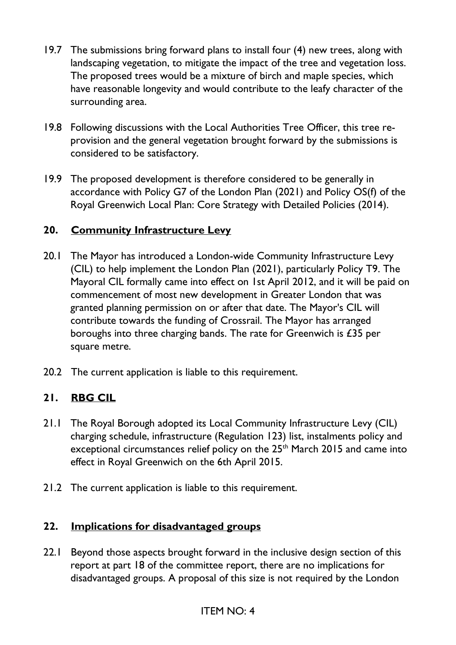- 19.7 The submissions bring forward plans to install four (4) new trees, along with landscaping vegetation, to mitigate the impact of the tree and vegetation loss. The proposed trees would be a mixture of birch and maple species, which have reasonable longevity and would contribute to the leafy character of the surrounding area.
- 19.8 Following discussions with the Local Authorities Tree Officer, this tree reprovision and the general vegetation brought forward by the submissions is considered to be satisfactory.
- 19.9 The proposed development is therefore considered to be generally in accordance with Policy G7 of the London Plan (2021) and Policy OS(f) of the Royal Greenwich Local Plan: Core Strategy with Detailed Policies (2014).

# **20. Community Infrastructure Levy**

- 20.1 The Mayor has introduced a London-wide Community Infrastructure Levy (CIL) to help implement the London Plan (2021), particularly Policy T9. The Mayoral CIL formally came into effect on 1st April 2012, and it will be paid on commencement of most new development in Greater London that was granted planning permission on or after that date. The Mayor's CIL will contribute towards the funding of Crossrail. The Mayor has arranged boroughs into three charging bands. The rate for Greenwich is £35 per square metre.
- 20.2 The current application is liable to this requirement.

# **21. RBG CIL**

- 21.1 The Royal Borough adopted its Local Community Infrastructure Levy (CIL) charging schedule, infrastructure (Regulation 123) list, instalments policy and exceptional circumstances relief policy on the 25<sup>th</sup> March 2015 and came into effect in Royal Greenwich on the 6th April 2015.
- 21.2 The current application is liable to this requirement.

#### **22. Implications for disadvantaged groups**

22.1 Beyond those aspects brought forward in the inclusive design section of this report at part 18 of the committee report, there are no implications for disadvantaged groups. A proposal of this size is not required by the London